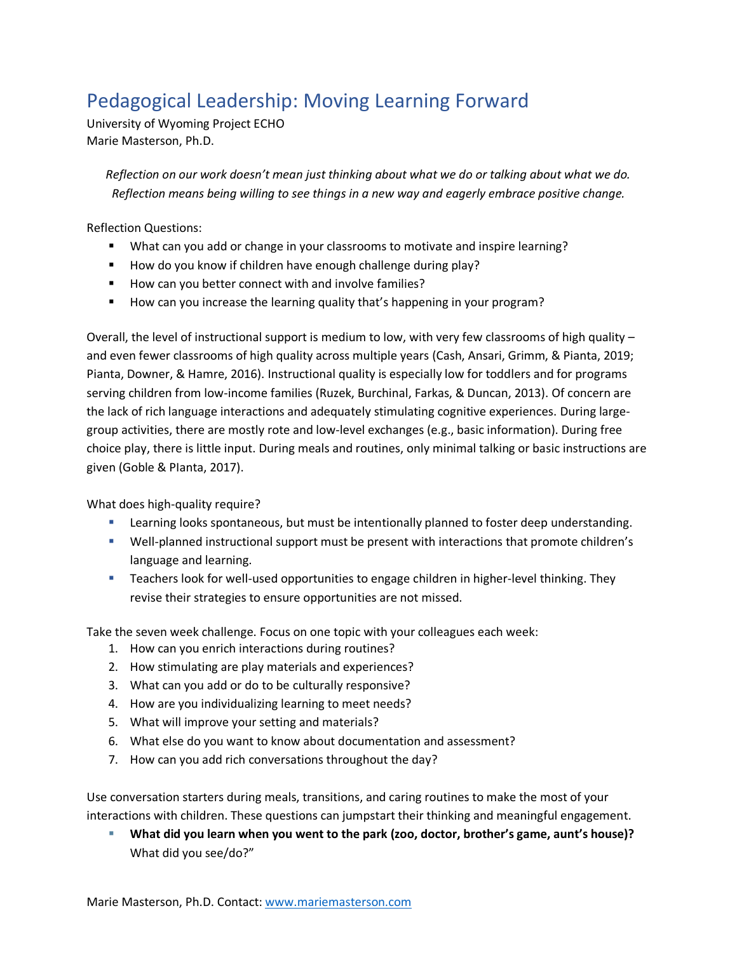## Pedagogical Leadership: Moving Learning Forward

University of Wyoming Project ECHO Marie Masterson, Ph.D.

*Reflection on our work doesn't mean just thinking about what we do or talking about what we do. Reflection means being willing to see things in a new way and eagerly embrace positive change.*

Reflection Questions:

- What can you add or change in your classrooms to motivate and inspire learning?
- How do you know if children have enough challenge during play?
- How can you better connect with and involve families?
- How can you increase the learning quality that's happening in your program?

Overall, the level of instructional support is medium to low, with very few classrooms of high quality – and even fewer classrooms of high quality across multiple years (Cash, Ansari, Grimm, & Pianta, 2019; Pianta, Downer, & Hamre, 2016). Instructional quality is especially low for toddlers and for programs serving children from low-income families (Ruzek, Burchinal, Farkas, & Duncan, 2013). Of concern are the lack of rich language interactions and adequately stimulating cognitive experiences. During largegroup activities, there are mostly rote and low-level exchanges (e.g., basic information). During free choice play, there is little input. During meals and routines, only minimal talking or basic instructions are given (Goble & PIanta, 2017).

What does high-quality require?

- **EXECT** Learning looks spontaneous, but must be intentionally planned to foster deep understanding.
- Well-planned instructional support must be present with interactions that promote children's language and learning.
- **EXECT** Teachers look for well-used opportunities to engage children in higher-level thinking. They revise their strategies to ensure opportunities are not missed.

Take the seven week challenge. Focus on one topic with your colleagues each week:

- 1. How can you enrich interactions during routines?
- 2. How stimulating are play materials and experiences?
- 3. What can you add or do to be culturally responsive?
- 4. How are you individualizing learning to meet needs?
- 5. What will improve your setting and materials?
- 6. What else do you want to know about documentation and assessment?
- 7. How can you add rich conversations throughout the day?

Use conversation starters during meals, transitions, and caring routines to make the most of your interactions with children. These questions can jumpstart their thinking and meaningful engagement.

▪ **What did you learn when you went to the park (zoo, doctor, brother's game, aunt's house)?** What did you see/do?"